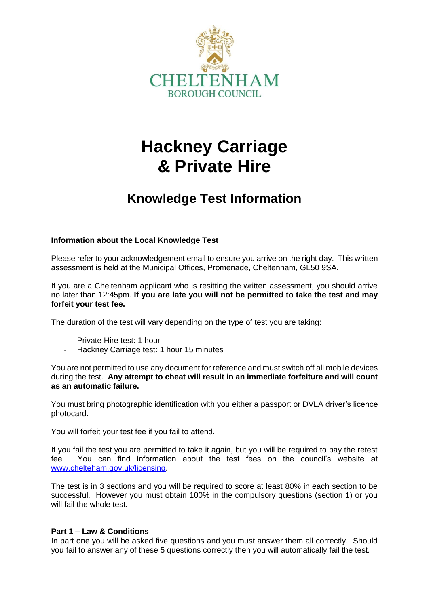

# **Hackney Carriage & Private Hire**

# **Knowledge Test Information**

# **Information about the Local Knowledge Test**

Please refer to your acknowledgement email to ensure you arrive on the right day. This written assessment is held at the Municipal Offices, Promenade, Cheltenham, GL50 9SA.

If you are a Cheltenham applicant who is resitting the written assessment, you should arrive no later than 12:45pm. **If you are late you will not be permitted to take the test and may forfeit your test fee.**

The duration of the test will vary depending on the type of test you are taking:

- Private Hire test: 1 hour
- Hackney Carriage test: 1 hour 15 minutes

You are not permitted to use any document for reference and must switch off all mobile devices during the test. **Any attempt to cheat will result in an immediate forfeiture and will count as an automatic failure.**

You must bring photographic identification with you either a passport or DVLA driver's licence photocard.

You will forfeit your test fee if you fail to attend.

If you fail the test you are permitted to take it again, but you will be required to pay the retest fee. You can find information about the test fees on the council's website at [www.chelteham.gov.uk/licensing.](http://www.chelteham.gov.uk/licensing)

The test is in 3 sections and you will be required to score at least 80% in each section to be successful. However you must obtain 100% in the compulsory questions (section 1) or you will fail the whole test.

# **Part 1 – Law & Conditions**

In part one you will be asked five questions and you must answer them all correctly. Should you fail to answer any of these 5 questions correctly then you will automatically fail the test.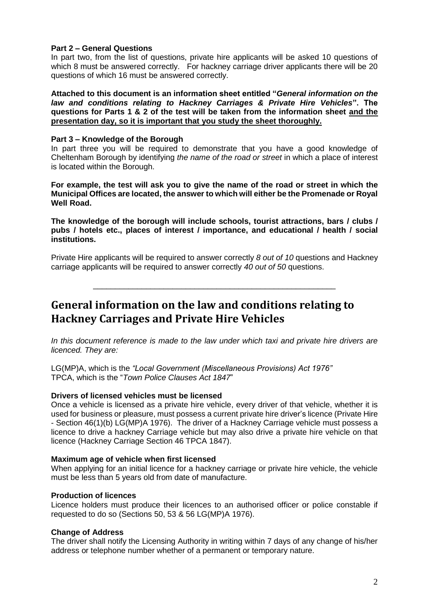# **Part 2 – General Questions**

In part two, from the list of questions, private hire applicants will be asked 10 questions of which 8 must be answered correctly. For hackney carriage driver applicants there will be 20 questions of which 16 must be answered correctly.

**Attached to this document is an information sheet entitled "***General information on the law and conditions relating to Hackney Carriages & Private Hire Vehicles***". The questions for Parts 1 & 2 of the test will be taken from the information sheet and the presentation day, so it is important that you study the sheet thoroughly.**

#### **Part 3 – Knowledge of the Borough**

In part three you will be required to demonstrate that you have a good knowledge of Cheltenham Borough by identifying *the name of the road or street* in which a place of interest is located within the Borough.

**For example, the test will ask you to give the name of the road or street in which the Municipal Offices are located, the answer to which will either be the Promenade or Royal Well Road.**

**The knowledge of the borough will include schools, tourist attractions, bars / clubs / pubs / hotels etc., places of interest / importance, and educational / health / social institutions.**

Private Hire applicants will be required to answer correctly *8 out of 10* questions and Hackney carriage applicants will be required to answer correctly *40 out of 50* questions.

\_\_\_\_\_\_\_\_\_\_\_\_\_\_\_\_\_\_\_\_\_\_\_\_\_\_\_\_\_\_\_\_\_\_\_\_\_\_\_\_\_\_\_\_\_\_\_\_\_\_\_\_\_\_\_

**General information on the law and conditions relating to Hackney Carriages and Private Hire Vehicles** 

*In this document reference is made to the law under which taxi and private hire drivers are licenced. They are:*

LG(MP)A, which is the *"Local Government (Miscellaneous Provisions) Act 1976"* TPCA, which is the "*Town Police Clauses Act 1847*"

#### **Drivers of licensed vehicles must be licensed**

Once a vehicle is licensed as a private hire vehicle, every driver of that vehicle, whether it is used for business or pleasure, must possess a current private hire driver's licence (Private Hire - Section 46(1)(b) LG(MP)A 1976). The driver of a Hackney Carriage vehicle must possess a licence to drive a hackney Carriage vehicle but may also drive a private hire vehicle on that licence (Hackney Carriage Section 46 TPCA 1847).

#### **Maximum age of vehicle when first licensed**

When applying for an initial licence for a hackney carriage or private hire vehicle, the vehicle must be less than 5 years old from date of manufacture.

#### **Production of licences**

Licence holders must produce their licences to an authorised officer or police constable if requested to do so (Sections 50, 53 & 56 LG(MP)A 1976).

#### **Change of Address**

The driver shall notify the Licensing Authority in writing within 7 days of any change of his/her address or telephone number whether of a permanent or temporary nature.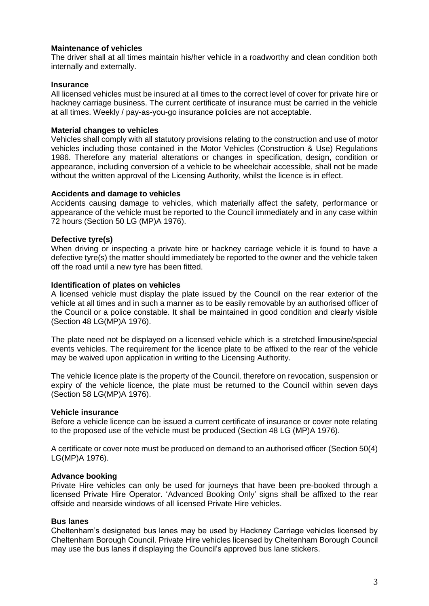# **Maintenance of vehicles**

The driver shall at all times maintain his/her vehicle in a roadworthy and clean condition both internally and externally.

# **Insurance**

All licensed vehicles must be insured at all times to the correct level of cover for private hire or hackney carriage business. The current certificate of insurance must be carried in the vehicle at all times. Weekly / pay-as-you-go insurance policies are not acceptable.

# **Material changes to vehicles**

Vehicles shall comply with all statutory provisions relating to the construction and use of motor vehicles including those contained in the Motor Vehicles (Construction & Use) Regulations 1986. Therefore any material alterations or changes in specification, design, condition or appearance, including conversion of a vehicle to be wheelchair accessible, shall not be made without the written approval of the Licensing Authority, whilst the licence is in effect.

# **Accidents and damage to vehicles**

Accidents causing damage to vehicles, which materially affect the safety, performance or appearance of the vehicle must be reported to the Council immediately and in any case within 72 hours (Section 50 LG (MP)A 1976).

# **Defective tyre(s)**

When driving or inspecting a private hire or hackney carriage vehicle it is found to have a defective tyre(s) the matter should immediately be reported to the owner and the vehicle taken off the road until a new tyre has been fitted.

# **Identification of plates on vehicles**

A licensed vehicle must display the plate issued by the Council on the rear exterior of the vehicle at all times and in such a manner as to be easily removable by an authorised officer of the Council or a police constable. It shall be maintained in good condition and clearly visible (Section 48 LG(MP)A 1976).

The plate need not be displayed on a licensed vehicle which is a stretched limousine/special events vehicles. The requirement for the licence plate to be affixed to the rear of the vehicle may be waived upon application in writing to the Licensing Authority.

The vehicle licence plate is the property of the Council, therefore on revocation, suspension or expiry of the vehicle licence, the plate must be returned to the Council within seven days (Section 58 LG(MP)A 1976).

# **Vehicle insurance**

Before a vehicle licence can be issued a current certificate of insurance or cover note relating to the proposed use of the vehicle must be produced (Section 48 LG (MP)A 1976).

A certificate or cover note must be produced on demand to an authorised officer (Section 50(4) LG(MP)A 1976).

# **Advance booking**

Private Hire vehicles can only be used for journeys that have been pre-booked through a licensed Private Hire Operator. 'Advanced Booking Only' signs shall be affixed to the rear offside and nearside windows of all licensed Private Hire vehicles.

# **Bus lanes**

Cheltenham's designated bus lanes may be used by Hackney Carriage vehicles licensed by Cheltenham Borough Council. Private Hire vehicles licensed by Cheltenham Borough Council may use the bus lanes if displaying the Council's approved bus lane stickers.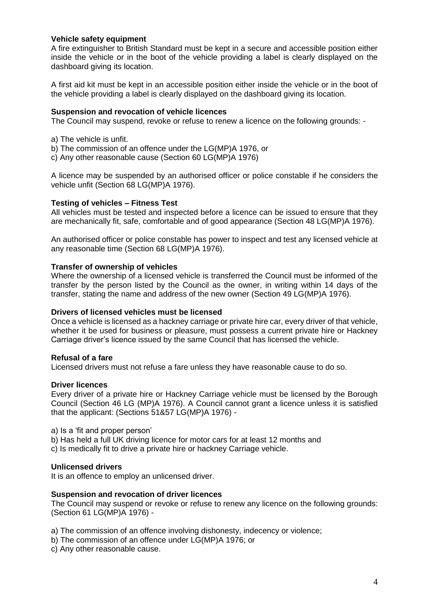# **Vehicle safety equipment**

A fire extinguisher to British Standard must be kept in a secure and accessible position either inside the vehicle or in the boot of the vehicle providing a label is clearly displayed on the dashboard giving its location.

A first aid kit must be kept in an accessible position either inside the vehicle or in the boot of the vehicle providing a label is clearly displayed on the dashboard giving its location.

#### **Suspension and revocation of vehicle licences**

The Council may suspend, revoke or refuse to renew a licence on the following grounds: -

- a) The vehicle is unfit.
- b) The commission of an offence under the LG(MP)A 1976, or
- c) Any other reasonable cause (Section 60 LG(MP)A 1976)

A licence may be suspended by an authorised officer or police constable if he considers the vehicle unfit (Section 68 LG(MP)A 1976).

#### **Testing of vehicles – Fitness Test**

All vehicles must be tested and inspected before a licence can be issued to ensure that they are mechanically fit, safe, comfortable and of good appearance (Section 48 LG(MP)A 1976).

An authorised officer or police constable has power to inspect and test any licensed vehicle at any reasonable time (Section 68 LG(MP)A 1976).

#### **Transfer of ownership of vehicles**

Where the ownership of a licensed vehicle is transferred the Council must be informed of the transfer by the person listed by the Council as the owner, in writing within 14 days of the transfer, stating the name and address of the new owner (Section 49 LG(MP)A 1976).

#### **Drivers of licensed vehicles must be licensed**

Once a vehicle is licensed as a hackney carriage or private hire car, every driver of that vehicle, whether it be used for business or pleasure, must possess a current private hire or Hackney Carriage driver's licence issued by the same Council that has licensed the vehicle.

#### **Refusal of a fare**

Licensed drivers must not refuse a fare unless they have reasonable cause to do so.

#### **Driver licences**

Every driver of a private hire or Hackney Carriage vehicle must be licensed by the Borough Council (Section 46 LG (MP)A 1976). A Council cannot grant a licence unless it is satisfied that the applicant: (Sections 51&57 LG(MP)A 1976) -

a) Is a 'fit and proper person'

b) Has held a full UK driving licence for motor cars for at least 12 months and

c) Is medically fit to drive a private hire or hackney Carriage vehicle.

#### **Unlicensed drivers**

It is an offence to employ an unlicensed driver.

#### **Suspension and revocation of driver licences**

The Council may suspend or revoke or refuse to renew any licence on the following grounds: (Section 61 LG(MP)A 1976) -

a) The commission of an offence involving dishonesty, indecency or violence;

- b) The commission of an offence under LG(MP)A 1976; or
- c) Any other reasonable cause.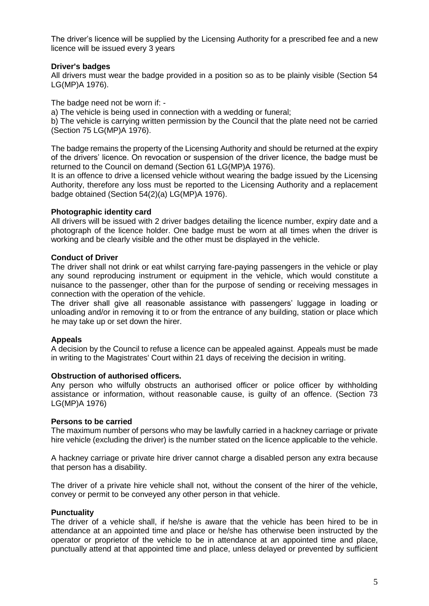The driver's licence will be supplied by the Licensing Authority for a prescribed fee and a new licence will be issued every 3 years

# **Driver's badges**

All drivers must wear the badge provided in a position so as to be plainly visible (Section 54 LG(MP)A 1976).

The badge need not be worn if: -

a) The vehicle is being used in connection with a wedding or funeral;

b) The vehicle is carrying written permission by the Council that the plate need not be carried (Section 75 LG(MP)A 1976).

The badge remains the property of the Licensing Authority and should be returned at the expiry of the drivers' licence. On revocation or suspension of the driver licence, the badge must be returned to the Council on demand (Section 61 LG(MP)A 1976).

It is an offence to drive a licensed vehicle without wearing the badge issued by the Licensing Authority, therefore any loss must be reported to the Licensing Authority and a replacement badge obtained (Section 54(2)(a) LG(MP)A 1976).

#### **Photographic identity card**

All drivers will be issued with 2 driver badges detailing the licence number, expiry date and a photograph of the licence holder. One badge must be worn at all times when the driver is working and be clearly visible and the other must be displayed in the vehicle.

#### **Conduct of Driver**

The driver shall not drink or eat whilst carrying fare-paying passengers in the vehicle or play any sound reproducing instrument or equipment in the vehicle, which would constitute a nuisance to the passenger, other than for the purpose of sending or receiving messages in connection with the operation of the vehicle.

The driver shall give all reasonable assistance with passengers' luggage in loading or unloading and/or in removing it to or from the entrance of any building, station or place which he may take up or set down the hirer.

# **Appeals**

A decision by the Council to refuse a licence can be appealed against. Appeals must be made in writing to the Magistrates' Court within 21 days of receiving the decision in writing.

#### **Obstruction of authorised officers.**

Any person who wilfully obstructs an authorised officer or police officer by withholding assistance or information, without reasonable cause, is guilty of an offence. (Section 73 LG(MP)A 1976)

#### **Persons to be carried**

The maximum number of persons who may be lawfully carried in a hackney carriage or private hire vehicle (excluding the driver) is the number stated on the licence applicable to the vehicle.

A hackney carriage or private hire driver cannot charge a disabled person any extra because that person has a disability.

The driver of a private hire vehicle shall not, without the consent of the hirer of the vehicle, convey or permit to be conveyed any other person in that vehicle.

# **Punctuality**

The driver of a vehicle shall, if he/she is aware that the vehicle has been hired to be in attendance at an appointed time and place or he/she has otherwise been instructed by the operator or proprietor of the vehicle to be in attendance at an appointed time and place, punctually attend at that appointed time and place, unless delayed or prevented by sufficient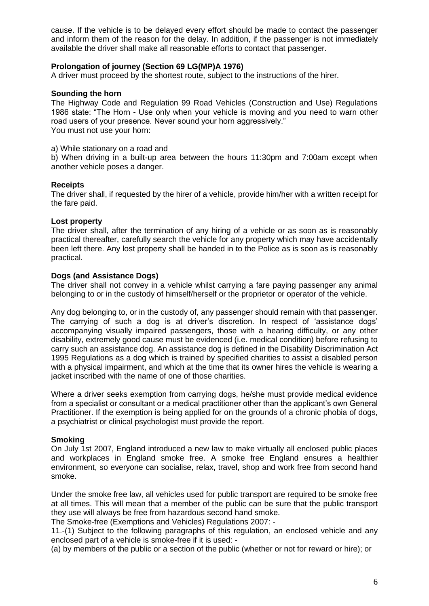cause. If the vehicle is to be delayed every effort should be made to contact the passenger and inform them of the reason for the delay. In addition, if the passenger is not immediately available the driver shall make all reasonable efforts to contact that passenger.

# **Prolongation of journey (Section 69 LG(MP)A 1976)**

A driver must proceed by the shortest route, subject to the instructions of the hirer.

#### **Sounding the horn**

The Highway Code and Regulation 99 Road Vehicles (Construction and Use) Regulations 1986 state: "The Horn - Use only when your vehicle is moving and you need to warn other road users of your presence. Never sound your horn aggressively." You must not use your horn:

a) While stationary on a road and

b) When driving in a built-up area between the hours 11:30pm and 7:00am except when another vehicle poses a danger.

#### **Receipts**

The driver shall, if requested by the hirer of a vehicle, provide him/her with a written receipt for the fare paid.

#### **Lost property**

The driver shall, after the termination of any hiring of a vehicle or as soon as is reasonably practical thereafter, carefully search the vehicle for any property which may have accidentally been left there. Any lost property shall be handed in to the Police as is soon as is reasonably practical.

#### **Dogs (and Assistance Dogs)**

The driver shall not convey in a vehicle whilst carrying a fare paying passenger any animal belonging to or in the custody of himself/herself or the proprietor or operator of the vehicle.

Any dog belonging to, or in the custody of, any passenger should remain with that passenger. The carrying of such a dog is at driver's discretion. In respect of 'assistance dogs' accompanying visually impaired passengers, those with a hearing difficulty, or any other disability, extremely good cause must be evidenced (i.e. medical condition) before refusing to carry such an assistance dog. An assistance dog is defined in the Disability Discrimination Act 1995 Regulations as a dog which is trained by specified charities to assist a disabled person with a physical impairment, and which at the time that its owner hires the vehicle is wearing a jacket inscribed with the name of one of those charities.

Where a driver seeks exemption from carrying dogs, he/she must provide medical evidence from a specialist or consultant or a medical practitioner other than the applicant's own General Practitioner. If the exemption is being applied for on the grounds of a chronic phobia of dogs, a psychiatrist or clinical psychologist must provide the report.

# **Smoking**

On July 1st 2007, England introduced a new law to make virtually all enclosed public places and workplaces in England smoke free. A smoke free England ensures a healthier environment, so everyone can socialise, relax, travel, shop and work free from second hand smoke.

Under the smoke free law, all vehicles used for public transport are required to be smoke free at all times. This will mean that a member of the public can be sure that the public transport they use will always be free from hazardous second hand smoke.

The Smoke-free (Exemptions and Vehicles) Regulations 2007: -

11.-(1) Subject to the following paragraphs of this regulation, an enclosed vehicle and any enclosed part of a vehicle is smoke-free if it is used: -

(a) by members of the public or a section of the public (whether or not for reward or hire); or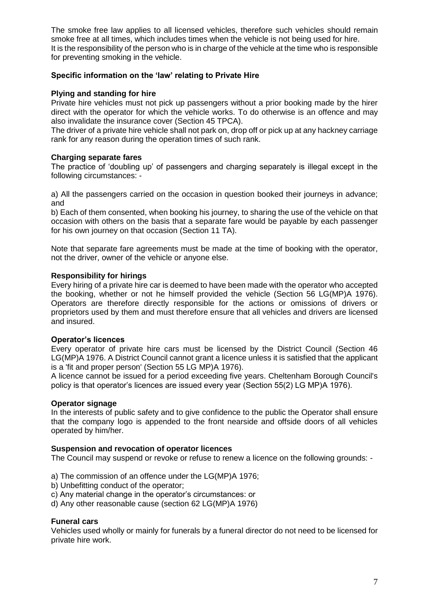The smoke free law applies to all licensed vehicles, therefore such vehicles should remain smoke free at all times, which includes times when the vehicle is not being used for hire. It is the responsibility of the person who is in charge of the vehicle at the time who is responsible for preventing smoking in the vehicle.

# **Specific information on the 'law' relating to Private Hire**

# **Plying and standing for hire**

Private hire vehicles must not pick up passengers without a prior booking made by the hirer direct with the operator for which the vehicle works. To do otherwise is an offence and may also invalidate the insurance cover (Section 45 TPCA).

The driver of a private hire vehicle shall not park on, drop off or pick up at any hackney carriage rank for any reason during the operation times of such rank.

# **Charging separate fares**

The practice of 'doubling up' of passengers and charging separately is illegal except in the following circumstances: -

a) All the passengers carried on the occasion in question booked their journeys in advance; and

b) Each of them consented, when booking his journey, to sharing the use of the vehicle on that occasion with others on the basis that a separate fare would be payable by each passenger for his own journey on that occasion (Section 11 TA).

Note that separate fare agreements must be made at the time of booking with the operator, not the driver, owner of the vehicle or anyone else.

# **Responsibility for hirings**

Every hiring of a private hire car is deemed to have been made with the operator who accepted the booking, whether or not he himself provided the vehicle (Section 56 LG(MP)A 1976). Operators are therefore directly responsible for the actions or omissions of drivers or proprietors used by them and must therefore ensure that all vehicles and drivers are licensed and insured.

# **Operator's licences**

Every operator of private hire cars must be licensed by the District Council (Section 46 LG(MP)A 1976. A District Council cannot grant a licence unless it is satisfied that the applicant is a 'fit and proper person' (Section 55 LG MP)A 1976).

A licence cannot be issued for a period exceeding five years. Cheltenham Borough Council's policy is that operator's licences are issued every year (Section 55(2) LG MP)A 1976).

# **Operator signage**

In the interests of public safety and to give confidence to the public the Operator shall ensure that the company logo is appended to the front nearside and offside doors of all vehicles operated by him/her.

# **Suspension and revocation of operator licences**

The Council may suspend or revoke or refuse to renew a licence on the following grounds: -

- a) The commission of an offence under the LG(MP)A 1976;
- b) Unbefitting conduct of the operator;
- c) Any material change in the operator's circumstances: or
- d) Any other reasonable cause (section 62 LG(MP)A 1976)

# **Funeral cars**

Vehicles used wholly or mainly for funerals by a funeral director do not need to be licensed for private hire work.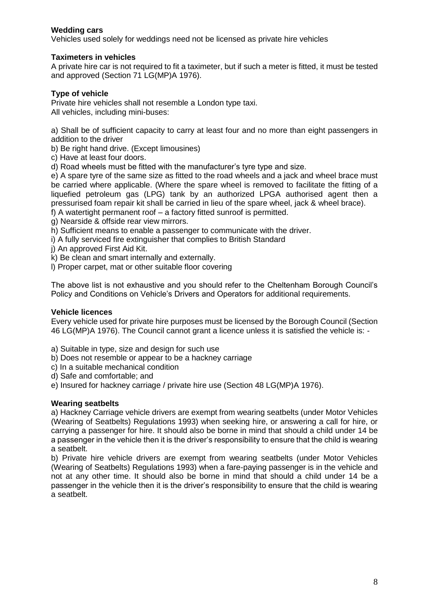# **Wedding cars**

Vehicles used solely for weddings need not be licensed as private hire vehicles

# **Taximeters in vehicles**

A private hire car is not required to fit a taximeter, but if such a meter is fitted, it must be tested and approved (Section 71 LG(MP)A 1976).

# **Type of vehicle**

Private hire vehicles shall not resemble a London type taxi. All vehicles, including mini-buses:

a) Shall be of sufficient capacity to carry at least four and no more than eight passengers in addition to the driver

b) Be right hand drive. (Except limousines)

c) Have at least four doors.

d) Road wheels must be fitted with the manufacturer's tyre type and size.

e) A spare tyre of the same size as fitted to the road wheels and a jack and wheel brace must be carried where applicable. (Where the spare wheel is removed to facilitate the fitting of a liquefied petroleum gas (LPG) tank by an authorized LPGA authorised agent then a pressurised foam repair kit shall be carried in lieu of the spare wheel, jack & wheel brace). f) A watertight permanent roof – a factory fitted sunroof is permitted.

g) Nearside & offside rear view mirrors.

h) Sufficient means to enable a passenger to communicate with the driver.

i) A fully serviced fire extinguisher that complies to British Standard

j) An approved First Aid Kit.

k) Be clean and smart internally and externally.

l) Proper carpet, mat or other suitable floor covering

The above list is not exhaustive and you should refer to the Cheltenham Borough Council's Policy and Conditions on Vehicle's Drivers and Operators for additional requirements.

# **Vehicle licences**

Every vehicle used for private hire purposes must be licensed by the Borough Council (Section 46 LG(MP)A 1976). The Council cannot grant a licence unless it is satisfied the vehicle is: -

- a) Suitable in type, size and design for such use
- b) Does not resemble or appear to be a hackney carriage
- c) In a suitable mechanical condition
- d) Safe and comfortable; and

e) Insured for hackney carriage / private hire use (Section 48 LG(MP)A 1976).

# **Wearing seatbelts**

a) Hackney Carriage vehicle drivers are exempt from wearing seatbelts (under Motor Vehicles (Wearing of Seatbelts) Regulations 1993) when seeking hire, or answering a call for hire, or carrying a passenger for hire. It should also be borne in mind that should a child under 14 be a passenger in the vehicle then it is the driver's responsibility to ensure that the child is wearing a seatbelt.

b) Private hire vehicle drivers are exempt from wearing seatbelts (under Motor Vehicles (Wearing of Seatbelts) Regulations 1993) when a fare-paying passenger is in the vehicle and not at any other time. It should also be borne in mind that should a child under 14 be a passenger in the vehicle then it is the driver's responsibility to ensure that the child is wearing a seatbelt.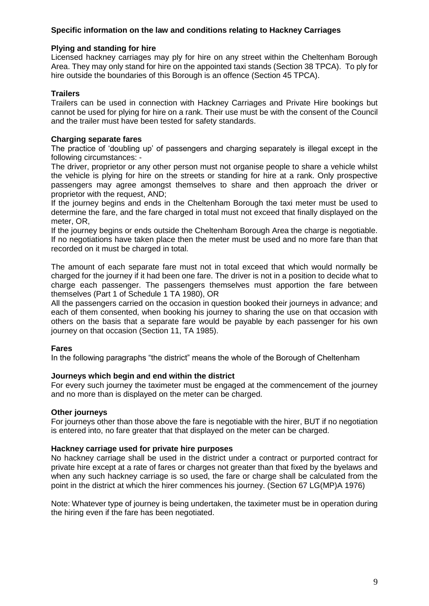# **Specific information on the law and conditions relating to Hackney Carriages**

# **Plying and standing for hire**

Licensed hackney carriages may ply for hire on any street within the Cheltenham Borough Area. They may only stand for hire on the appointed taxi stands (Section 38 TPCA). To ply for hire outside the boundaries of this Borough is an offence (Section 45 TPCA).

# **Trailers**

Trailers can be used in connection with Hackney Carriages and Private Hire bookings but cannot be used for plying for hire on a rank. Their use must be with the consent of the Council and the trailer must have been tested for safety standards.

#### **Charging separate fares**

The practice of 'doubling up' of passengers and charging separately is illegal except in the following circumstances: -

The driver, proprietor or any other person must not organise people to share a vehicle whilst the vehicle is plying for hire on the streets or standing for hire at a rank. Only prospective passengers may agree amongst themselves to share and then approach the driver or proprietor with the request, AND;

If the journey begins and ends in the Cheltenham Borough the taxi meter must be used to determine the fare, and the fare charged in total must not exceed that finally displayed on the meter, OR,

If the journey begins or ends outside the Cheltenham Borough Area the charge is negotiable. If no negotiations have taken place then the meter must be used and no more fare than that recorded on it must be charged in total.

The amount of each separate fare must not in total exceed that which would normally be charged for the journey if it had been one fare. The driver is not in a position to decide what to charge each passenger. The passengers themselves must apportion the fare between themselves (Part 1 of Schedule 1 TA 1980), OR

All the passengers carried on the occasion in question booked their journeys in advance; and each of them consented, when booking his journey to sharing the use on that occasion with others on the basis that a separate fare would be payable by each passenger for his own journey on that occasion (Section 11, TA 1985).

#### **Fares**

In the following paragraphs "the district" means the whole of the Borough of Cheltenham

#### **Journeys which begin and end within the district**

For every such journey the taximeter must be engaged at the commencement of the journey and no more than is displayed on the meter can be charged.

#### **Other journeys**

For journeys other than those above the fare is negotiable with the hirer, BUT if no negotiation is entered into, no fare greater that that displayed on the meter can be charged.

#### **Hackney carriage used for private hire purposes**

No hackney carriage shall be used in the district under a contract or purported contract for private hire except at a rate of fares or charges not greater than that fixed by the byelaws and when any such hackney carriage is so used, the fare or charge shall be calculated from the point in the district at which the hirer commences his journey. (Section 67 LG(MP)A 1976)

Note: Whatever type of journey is being undertaken, the taximeter must be in operation during the hiring even if the fare has been negotiated.